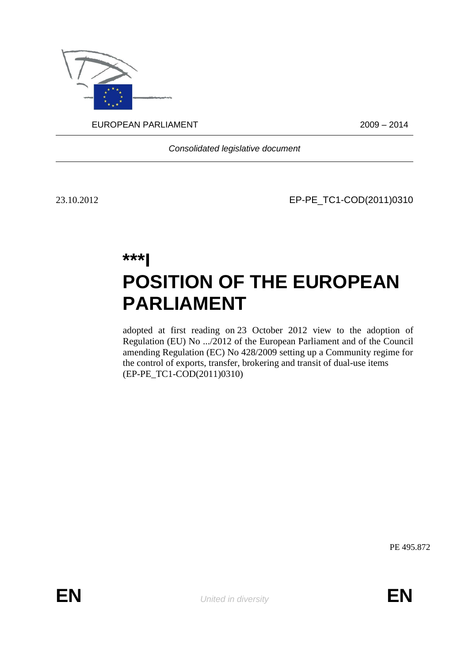

EUROPEAN PARLIAMENT 2009 – 2014

*Consolidated legislative document*

23.10.2012 EP-PE\_TC1-COD(2011)0310

# **\*\*\*I POSITION OF THE EUROPEAN PARLIAMENT**

adopted at first reading on 23 October 2012 view to the adoption of Regulation (EU) No .../2012 of the European Parliament and of the Council amending Regulation (EC) No 428/2009 setting up a Community regime for the control of exports, transfer, brokering and transit of dual-use items (EP-PE\_TC1-COD(2011)0310)

PE 495.872

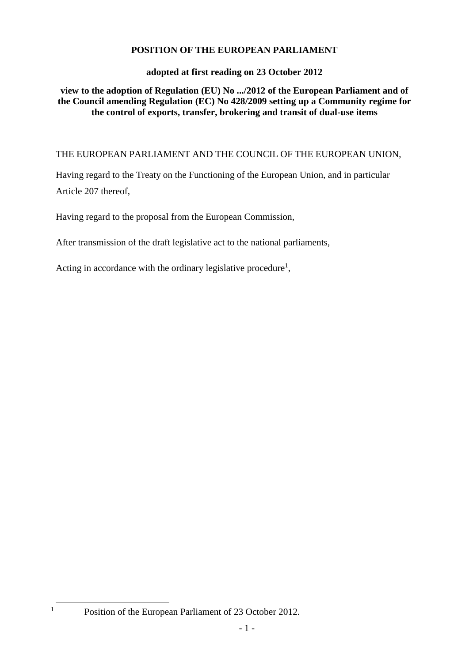# **POSITION OF THE EUROPEAN PARLIAMENT**

# **adopted at first reading on 23 October 2012**

# **view to the adoption of Regulation (EU) No .../2012 of the European Parliament and of the Council amending Regulation (EC) No 428/2009 setting up a Community regime for the control of exports, transfer, brokering and transit of dual-use items**

# THE EUROPEAN PARLIAMENT AND THE COUNCIL OF THE EUROPEAN UNION,

Having regard to the Treaty on the Functioning of the European Union, and in particular Article 207 thereof,

Having regard to the proposal from the European Commission,

After transmission of the draft legislative act to the national parliaments,

Acting in accordance with the ordinary legislative procedure<sup>1</sup>,

 $\overline{a}$ 

<sup>&</sup>lt;sup>1</sup> Position of the European Parliament of 23 October 2012.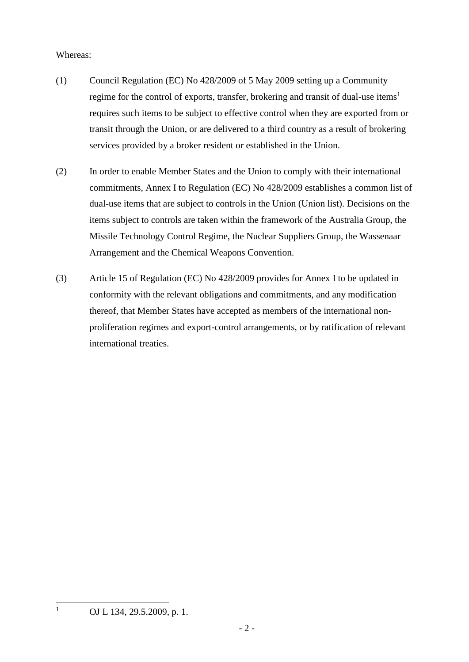### Whereas:

- (1) Council Regulation (EC) No 428/2009 of 5 May 2009 setting up a Community regime for the control of exports, transfer, brokering and transit of dual-use items<sup>1</sup> requires such items to be subject to effective control when they are exported from or transit through the Union, or are delivered to a third country as a result of brokering services provided by a broker resident or established in the Union.
- (2) In order to enable Member States and the Union to comply with their international commitments, Annex I to Regulation (EC) No 428/2009 establishes a common list of dual-use items that are subject to controls in the Union (Union list). Decisions on the items subject to controls are taken within the framework of the Australia Group, the Missile Technology Control Regime, the Nuclear Suppliers Group, the Wassenaar Arrangement and the Chemical Weapons Convention.
- (3) Article 15 of Regulation (EC) No 428/2009 provides for Annex I to be updated in conformity with the relevant obligations and commitments, and any modification thereof, that Member States have accepted as members of the international nonproliferation regimes and export-control arrangements, or by ratification of relevant international treaties.

 $\mathbf{1}$ 

OJ L 134, 29.5.2009, p. 1.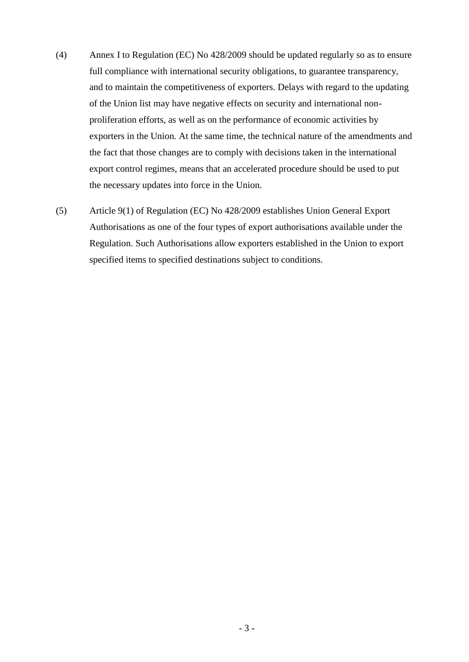- (4) Annex I to Regulation (EC) No 428/2009 should be updated regularly so as to ensure full compliance with international security obligations, to guarantee transparency, and to maintain the competitiveness of exporters. Delays with regard to the updating of the Union list may have negative effects on security and international nonproliferation efforts, as well as on the performance of economic activities by exporters in the Union. At the same time, the technical nature of the amendments and the fact that those changes are to comply with decisions taken in the international export control regimes, means that an accelerated procedure should be used to put the necessary updates into force in the Union.
- (5) Article 9(1) of Regulation (EC) No 428/2009 establishes Union General Export Authorisations as one of the four types of export authorisations available under the Regulation. Such Authorisations allow exporters established in the Union to export specified items to specified destinations subject to conditions.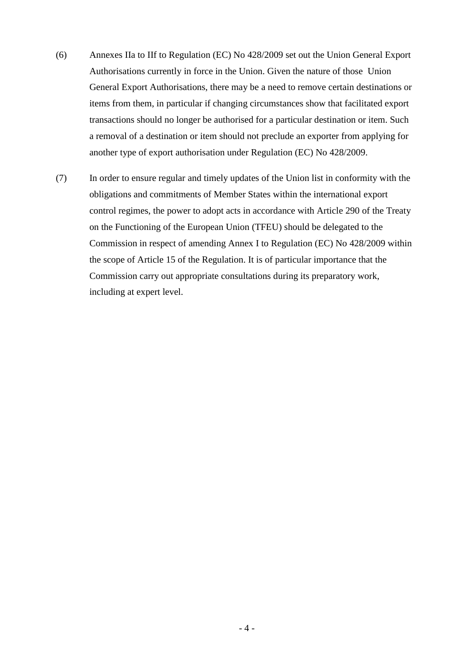- (6) Annexes IIa to IIf to Regulation (EC) No 428/2009 set out the Union General Export Authorisations currently in force in the Union. Given the nature of those Union General Export Authorisations, there may be a need to remove certain destinations or items from them, in particular if changing circumstances show that facilitated export transactions should no longer be authorised for a particular destination or item. Such a removal of a destination or item should not preclude an exporter from applying for another type of export authorisation under Regulation (EC) No 428/2009.
- (7) In order to ensure regular and timely updates of the Union list in conformity with the obligations and commitments of Member States within the international export control regimes, the power to adopt acts in accordance with Article 290 of the Treaty on the Functioning of the European Union (TFEU) should be delegated to the Commission in respect of amending Annex I to Regulation (EC) No 428/2009 within the scope of Article 15 of the Regulation. It is of particular importance that the Commission carry out appropriate consultations during its preparatory work, including at expert level.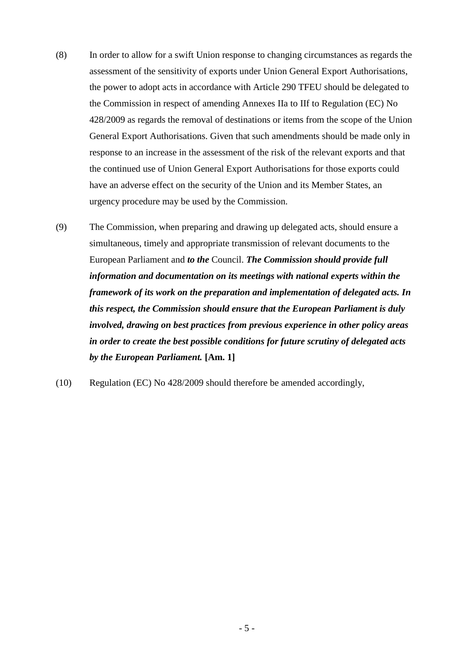- (8) In order to allow for a swift Union response to changing circumstances as regards the assessment of the sensitivity of exports under Union General Export Authorisations, the power to adopt acts in accordance with Article 290 TFEU should be delegated to the Commission in respect of amending Annexes IIa to IIf to Regulation (EC) No 428/2009 as regards the removal of destinations or items from the scope of the Union General Export Authorisations. Given that such amendments should be made only in response to an increase in the assessment of the risk of the relevant exports and that the continued use of Union General Export Authorisations for those exports could have an adverse effect on the security of the Union and its Member States, an urgency procedure may be used by the Commission.
- (9) The Commission, when preparing and drawing up delegated acts, should ensure a simultaneous, timely and appropriate transmission of relevant documents to the European Parliament and *to the* Council. *The Commission should provide full information and documentation on its meetings with national experts within the framework of its work on the preparation and implementation of delegated acts. In this respect, the Commission should ensure that the European Parliament is duly involved, drawing on best practices from previous experience in other policy areas in order to create the best possible conditions for future scrutiny of delegated acts by the European Parliament.* **[Am. 1]**
- (10) Regulation (EC) No 428/2009 should therefore be amended accordingly,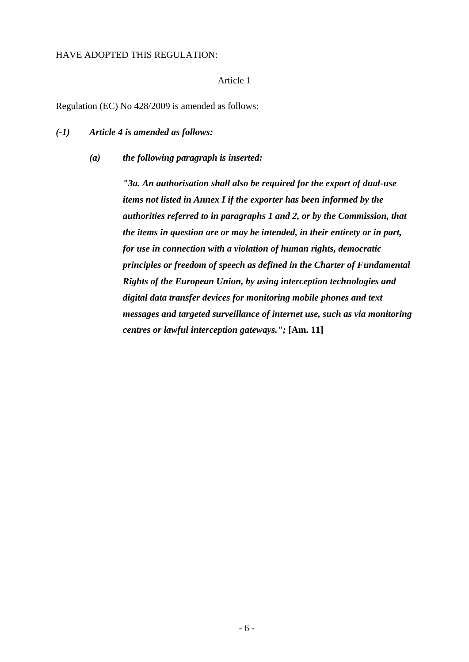#### HAVE ADOPTED THIS REGULATION:

## Article 1

Regulation (EC) No 428/2009 is amended as follows:

## *(-1) Article 4 is amended as follows:*

*(a) the following paragraph is inserted:*

*"3a. An authorisation shall also be required for the export of dual-use items not listed in Annex I if the exporter has been informed by the authorities referred to in paragraphs 1 and 2, or by the Commission, that the items in question are or may be intended, in their entirety or in part, for use in connection with a violation of human rights, democratic principles or freedom of speech as defined in the Charter of Fundamental Rights of the European Union, by using interception technologies and digital data transfer devices for monitoring mobile phones and text messages and targeted surveillance of internet use, such as via monitoring centres or lawful interception gateways.";* **[Am. 11]**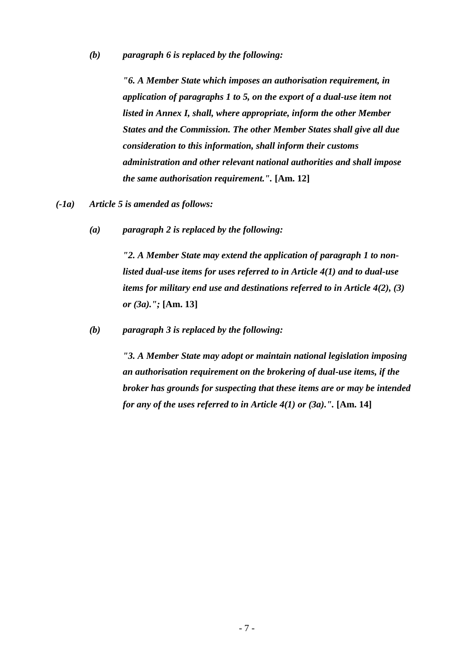#### *(b) paragraph 6 is replaced by the following:*

*"6. A Member State which imposes an authorisation requirement, in application of paragraphs 1 to 5, on the export of a dual-use item not listed in Annex I, shall, where appropriate, inform the other Member States and the Commission. The other Member States shall give all due consideration to this information, shall inform their customs administration and other relevant national authorities and shall impose the same authorisation requirement.".* **[Am. 12]**

*(-1a) Article 5 is amended as follows:*

*(a) paragraph 2 is replaced by the following:*

*"2. A Member State may extend the application of paragraph 1 to nonlisted dual-use items for uses referred to in Article 4(1) and to dual-use items for military end use and destinations referred to in Article 4(2), (3) or (3a).";* **[Am. 13]**

*(b) paragraph 3 is replaced by the following:*

*"3. A Member State may adopt or maintain national legislation imposing an authorisation requirement on the brokering of dual-use items, if the broker has grounds for suspecting that these items are or may be intended for any of the uses referred to in Article 4(1) or (3a).".* **[Am. 14]**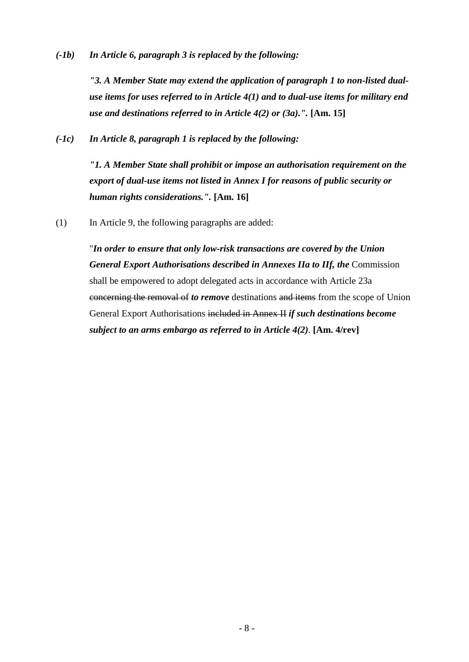*(-1b) In Article 6, paragraph 3 is replaced by the following:*

*"3. A Member State may extend the application of paragraph 1 to non-listed dualuse items for uses referred to in Article 4(1) and to dual-use items for military end use and destinations referred to in Article 4(2) or (3a).".* **[Am. 15]**

*(-1c) In Article 8, paragraph 1 is replaced by the following:*

*"1. A Member State shall prohibit or impose an authorisation requirement on the export of dual-use items not listed in Annex I for reasons of public security or human rights considerations.".* **[Am. 16]**

(1) In Article 9, the following paragraphs are added:

"*In order to ensure that only low-risk transactions are covered by the Union General Export Authorisations described in Annexes IIa to IIf, the* Commission shall be empowered to adopt delegated acts in accordance with Article 23a concerning the removal of *to remove* destinations and items from the scope of Union General Export Authorisations included in Annex II *if such destinations become subject to an arms embargo as referred to in Article 4(2)*. **[Am. 4/rev]**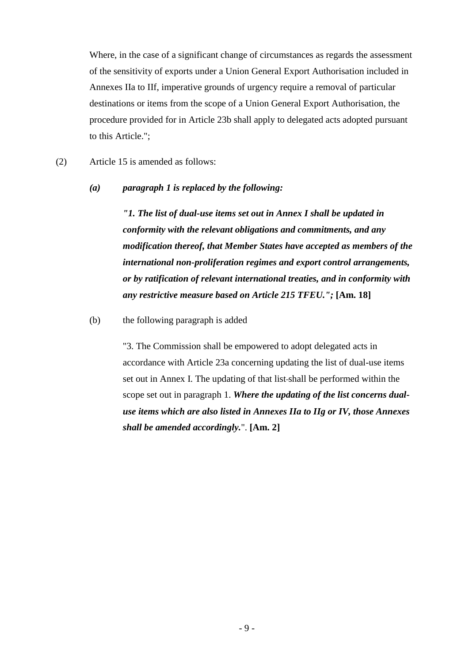Where, in the case of a significant change of circumstances as regards the assessment of the sensitivity of exports under a Union General Export Authorisation included in Annexes IIa to IIf, imperative grounds of urgency require a removal of particular destinations or items from the scope of a Union General Export Authorisation, the procedure provided for in Article 23b shall apply to delegated acts adopted pursuant to this Article.";

(2) Article 15 is amended as follows:

#### *(a) paragraph 1 is replaced by the following:*

*"1. The list of dual-use items set out in Annex I shall be updated in conformity with the relevant obligations and commitments, and any modification thereof, that Member States have accepted as members of the international non-proliferation regimes and export control arrangements, or by ratification of relevant international treaties, and in conformity with any restrictive measure based on Article 215 TFEU.";* **[Am. 18]**

#### (b) the following paragraph is added

"3. The Commission shall be empowered to adopt delegated acts in accordance with Article 23a concerning updating the list of dual-use items set out in Annex I. The updating of that list shall be performed within the scope set out in paragraph 1. *Where the updating of the list concerns dualuse items which are also listed in Annexes IIa to IIg or IV, those Annexes shall be amended accordingly.*". **[Am. 2]**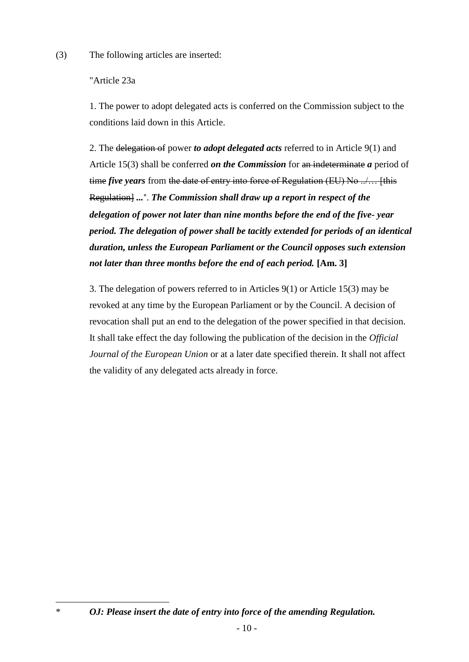(3) The following articles are inserted:

## "Article 23a

 $\overline{a}$ 

1. The power to adopt delegated acts is conferred on the Commission subject to the conditions laid down in this Article.

2. The delegation of power *to adopt delegated acts* referred to in Article 9(1) and Article 15(3) shall be conferred *on the Commission* for an indeterminate *a* period of time *five years* from the date of entry into force of Regulation (EU) No ../… [this Regulation] ...<sup>\*</sup>. The Commission shall draw up a report in respect of the *delegation of power not later than nine months before the end of the five- year period. The delegation of power shall be tacitly extended for periods of an identical duration, unless the European Parliament or the Council opposes such extension not later than three months before the end of each period.* **[Am. 3]**

3. The delegation of powers referred to in Articles 9(1) or Article 15(3) may be revoked at any time by the European Parliament or by the Council. A decision of revocation shall put an end to the delegation of the power specified in that decision. It shall take effect the day following the publication of the decision in the *Official Journal of the European Union* or at a later date specified therein. It shall not affect the validity of any delegated acts already in force.

<sup>\*</sup> *OJ: Please insert the date of entry into force of the amending Regulation.*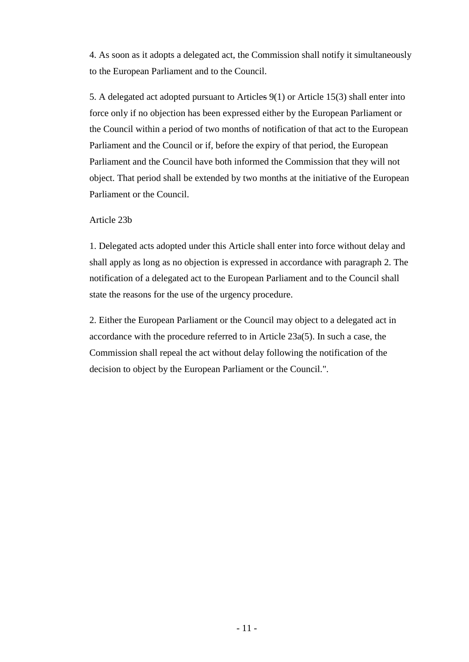4. As soon as it adopts a delegated act, the Commission shall notify it simultaneously to the European Parliament and to the Council.

5. A delegated act adopted pursuant to Articles 9(1) or Article 15(3) shall enter into force only if no objection has been expressed either by the European Parliament or the Council within a period of two months of notification of that act to the European Parliament and the Council or if, before the expiry of that period, the European Parliament and the Council have both informed the Commission that they will not object. That period shall be extended by two months at the initiative of the European Parliament or the Council.

### Article 23b

1. Delegated acts adopted under this Article shall enter into force without delay and shall apply as long as no objection is expressed in accordance with paragraph 2. The notification of a delegated act to the European Parliament and to the Council shall state the reasons for the use of the urgency procedure.

2. Either the European Parliament or the Council may object to a delegated act in accordance with the procedure referred to in Article 23a(5). In such a case, the Commission shall repeal the act without delay following the notification of the decision to object by the European Parliament or the Council.".